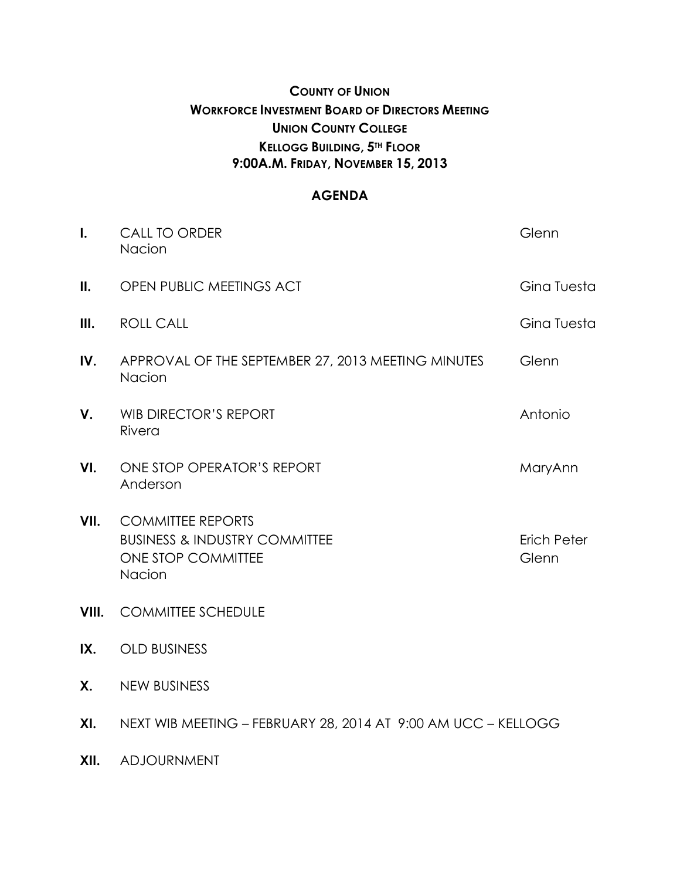# **COUNTY OF UNION WORKFORCE INVESTMENT BOARD OF DIRECTORS MEETING UNION COUNTY COLLEGE KELLOGG BUILDING, 5TH FLOOR 9:00A.M. FRIDAY, NOVEMBER 15, 2013**

### **AGENDA**

| $\mathbf{I}$ . | <b>CALL TO ORDER</b><br>Nacion                                                                       | Glenn                |
|----------------|------------------------------------------------------------------------------------------------------|----------------------|
| II.            | OPEN PUBLIC MEETINGS ACT                                                                             | Gina Tuesta          |
| III.           | <b>ROLL CALL</b>                                                                                     | Gina Tuesta          |
| IV.            | APPROVAL OF THE SEPTEMBER 27, 2013 MEETING MINUTES<br>Nacion                                         | Glenn                |
| V.             | <b>WIB DIRECTOR'S REPORT</b><br>Rivera                                                               | Antonio              |
| VI.            | ONE STOP OPERATOR'S REPORT<br>Anderson                                                               | MaryAnn              |
| VII.           | <b>COMMITTEE REPORTS</b><br><b>BUSINESS &amp; INDUSTRY COMMITTEE</b><br>ONE STOP COMMITTEE<br>Nacion | Erich Peter<br>Glenn |
| VIII.          | <b>COMMITTEE SCHEDULE</b>                                                                            |                      |
| IX.            | <b>OLD BUSINESS</b>                                                                                  |                      |
| Χ.             | <b>NEW BUSINESS</b>                                                                                  |                      |
| XI.            | NEXT WIB MEETING - FEBRUARY 28, 2014 AT 9:00 AM UCC - KELLOGG                                        |                      |

**XII.** ADJOURNMENT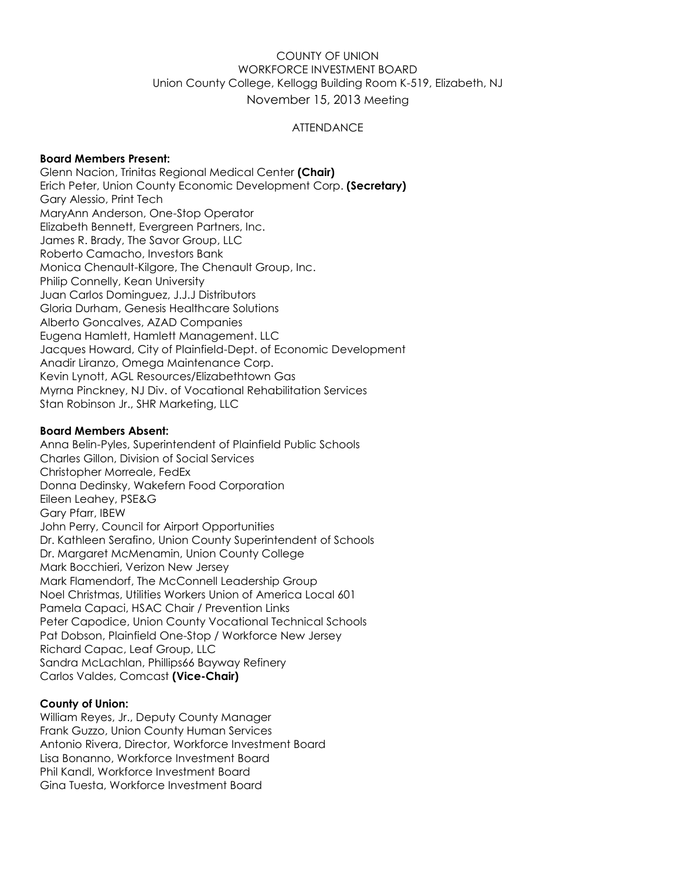#### COUNTY OF UNION WORKFORCE INVESTMENT BOARD Union County College, Kellogg Building Room K-519, Elizabeth, NJ November 15, 2013 Meeting

#### **ATTENDANCE**

#### **Board Members Present:**

Glenn Nacion, Trinitas Regional Medical Center **(Chair)** Erich Peter, Union County Economic Development Corp. **(Secretary)** Gary Alessio, Print Tech MaryAnn Anderson, One-Stop Operator Elizabeth Bennett, Evergreen Partners, Inc. James R. Brady, The Savor Group, LLC Roberto Camacho, Investors Bank Monica Chenault-Kilgore, The Chenault Group, Inc. Philip Connelly, Kean University Juan Carlos Dominguez, J.J.J Distributors Gloria Durham, Genesis Healthcare Solutions Alberto Goncalves, AZAD Companies Eugena Hamlett, Hamlett Management. LLC Jacques Howard, City of Plainfield-Dept. of Economic Development Anadir Liranzo, Omega Maintenance Corp. Kevin Lynott, AGL Resources/Elizabethtown Gas Myrna Pinckney, NJ Div. of Vocational Rehabilitation Services Stan Robinson Jr., SHR Marketing, LLC

#### **Board Members Absent:**

Anna Belin-Pyles, Superintendent of Plainfield Public Schools Charles Gillon, Division of Social Services Christopher Morreale, FedEx Donna Dedinsky, Wakefern Food Corporation Eileen Leahey, PSE&G Gary Pfarr, IBEW John Perry, Council for Airport Opportunities Dr. Kathleen Serafino, Union County Superintendent of Schools Dr. Margaret McMenamin, Union County College Mark Bocchieri, Verizon New Jersey Mark Flamendorf, The McConnell Leadership Group Noel Christmas, Utilities Workers Union of America Local 601 Pamela Capaci, HSAC Chair / Prevention Links Peter Capodice, Union County Vocational Technical Schools Pat Dobson, Plainfield One-Stop / Workforce New Jersey Richard Capac, Leaf Group, LLC Sandra McLachlan, Phillips66 Bayway Refinery Carlos Valdes, Comcast **(Vice-Chair)**

#### **County of Union:**

William Reyes, Jr., Deputy County Manager Frank Guzzo, Union County Human Services Antonio Rivera, Director, Workforce Investment Board Lisa Bonanno, Workforce Investment Board Phil Kandl, Workforce Investment Board Gina Tuesta, Workforce Investment Board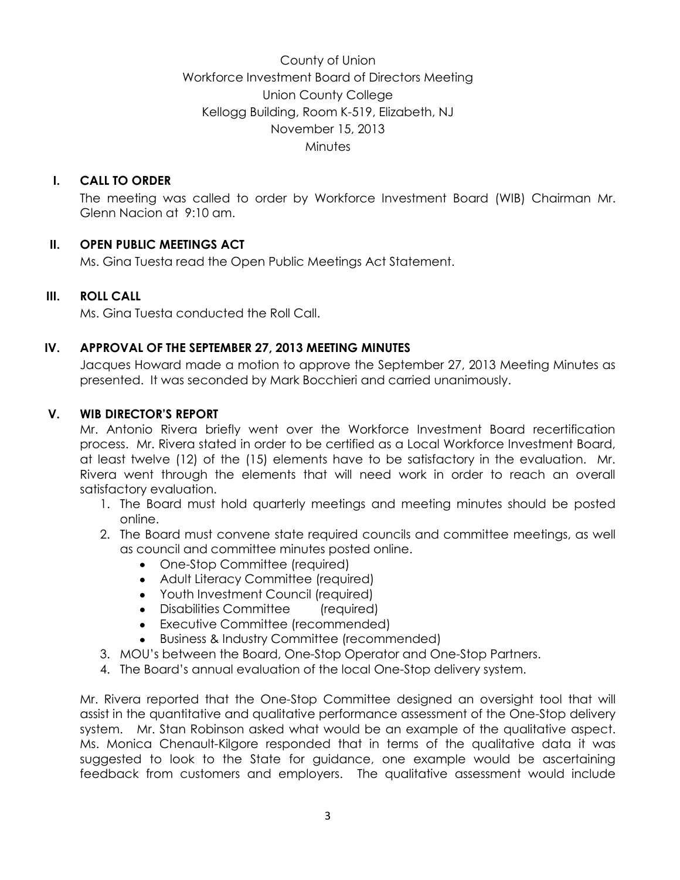County of Union Workforce Investment Board of Directors Meeting Union County College Kellogg Building, Room K-519, Elizabeth, NJ November 15, 2013 **Minutes** 

# **I. CALL TO ORDER**

The meeting was called to order by Workforce Investment Board (WIB) Chairman Mr. Glenn Nacion at 9:10 am.

# **II. OPEN PUBLIC MEETINGS ACT**

Ms. Gina Tuesta read the Open Public Meetings Act Statement.

# **III. ROLL CALL**

Ms. Gina Tuesta conducted the Roll Call.

# **IV. APPROVAL OF THE SEPTEMBER 27, 2013 MEETING MINUTES**

Jacques Howard made a motion to approve the September 27, 2013 Meeting Minutes as presented. It was seconded by Mark Bocchieri and carried unanimously.

## **V. WIB DIRECTOR'S REPORT**

Mr. Antonio Rivera briefly went over the Workforce Investment Board recertification process. Mr. Rivera stated in order to be certified as a Local Workforce Investment Board, at least twelve (12) of the (15) elements have to be satisfactory in the evaluation. Mr. Rivera went through the elements that will need work in order to reach an overall satisfactory evaluation.

- 1. The Board must hold quarterly meetings and meeting minutes should be posted online.
- 2. The Board must convene state required councils and committee meetings, as well as council and committee minutes posted online.
	- One-Stop Committee (required)
	- Adult Literacy Committee (required)
	- Youth Investment Council (required)
	- Disabilities Committee (required)
	- Executive Committee (recommended)
	- Business & Industry Committee (recommended)
- 3. MOU's between the Board, One-Stop Operator and One-Stop Partners.
- 4. The Board's annual evaluation of the local One-Stop delivery system.

Mr. Rivera reported that the One-Stop Committee designed an oversight tool that will assist in the quantitative and qualitative performance assessment of the One-Stop delivery system. Mr. Stan Robinson asked what would be an example of the qualitative aspect. Ms. Monica Chenault-Kilgore responded that in terms of the qualitative data it was suggested to look to the State for guidance, one example would be ascertaining feedback from customers and employers. The qualitative assessment would include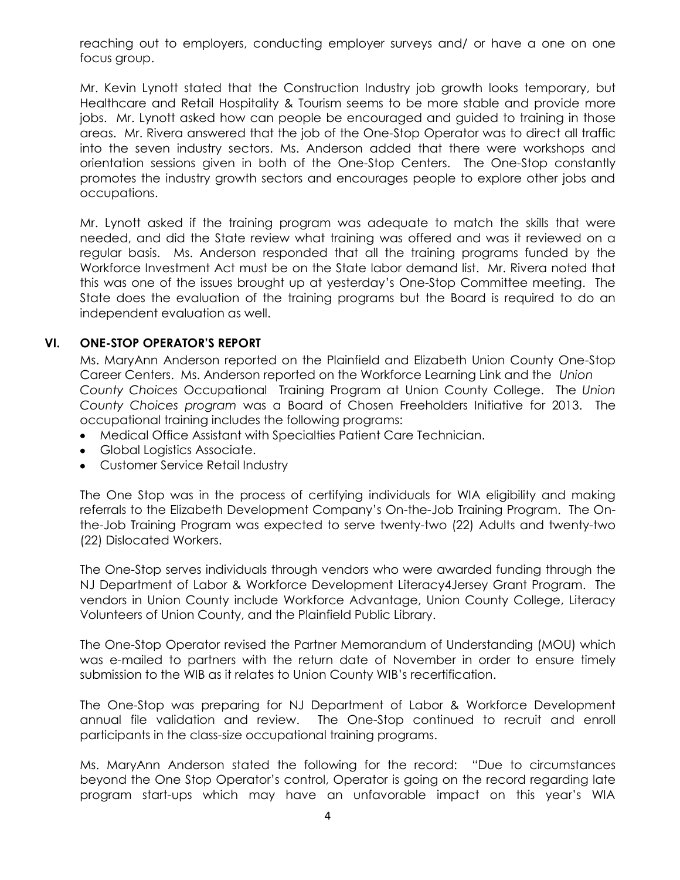reaching out to employers, conducting employer surveys and/ or have a one on one focus group.

Mr. Kevin Lynott stated that the Construction Industry job growth looks temporary, but Healthcare and Retail Hospitality & Tourism seems to be more stable and provide more jobs. Mr. Lynott asked how can people be encouraged and guided to training in those areas. Mr. Rivera answered that the job of the One-Stop Operator was to direct all traffic into the seven industry sectors. Ms. Anderson added that there were workshops and orientation sessions given in both of the One-Stop Centers. The One-Stop constantly promotes the industry growth sectors and encourages people to explore other jobs and occupations.

Mr. Lynott asked if the training program was adequate to match the skills that were needed, and did the State review what training was offered and was it reviewed on a regular basis. Ms. Anderson responded that all the training programs funded by the Workforce Investment Act must be on the State labor demand list. Mr. Rivera noted that this was one of the issues brought up at yesterday's One-Stop Committee meeting. The State does the evaluation of the training programs but the Board is required to do an independent evaluation as well.

## **VI. ONE-STOP OPERATOR'S REPORT**

Ms. MaryAnn Anderson reported on the Plainfield and Elizabeth Union County One-Stop Career Centers. Ms. Anderson reported on the Workforce Learning Link and the *Union County Choices* Occupational Training Program at Union County College. The *Union County Choices program* was a Board of Chosen Freeholders Initiative for 2013. The occupational training includes the following programs:

- Medical Office Assistant with Specialties Patient Care Technician.
- Global Logistics Associate.
- Customer Service Retail Industry

The One Stop was in the process of certifying individuals for WIA eligibility and making referrals to the Elizabeth Development Company's On-the-Job Training Program. The Onthe-Job Training Program was expected to serve twenty-two (22) Adults and twenty-two (22) Dislocated Workers.

The One-Stop serves individuals through vendors who were awarded funding through the NJ Department of Labor & Workforce Development Literacy4Jersey Grant Program. The vendors in Union County include Workforce Advantage, Union County College, Literacy Volunteers of Union County, and the Plainfield Public Library.

The One-Stop Operator revised the Partner Memorandum of Understanding (MOU) which was e-mailed to partners with the return date of November in order to ensure timely submission to the WIB as it relates to Union County WIB's recertification.

The One-Stop was preparing for NJ Department of Labor & Workforce Development annual file validation and review. The One-Stop continued to recruit and enroll participants in the class-size occupational training programs.

Ms. MaryAnn Anderson stated the following for the record: "Due to circumstances beyond the One Stop Operator's control, Operator is going on the record regarding late program start-ups which may have an unfavorable impact on this year's WIA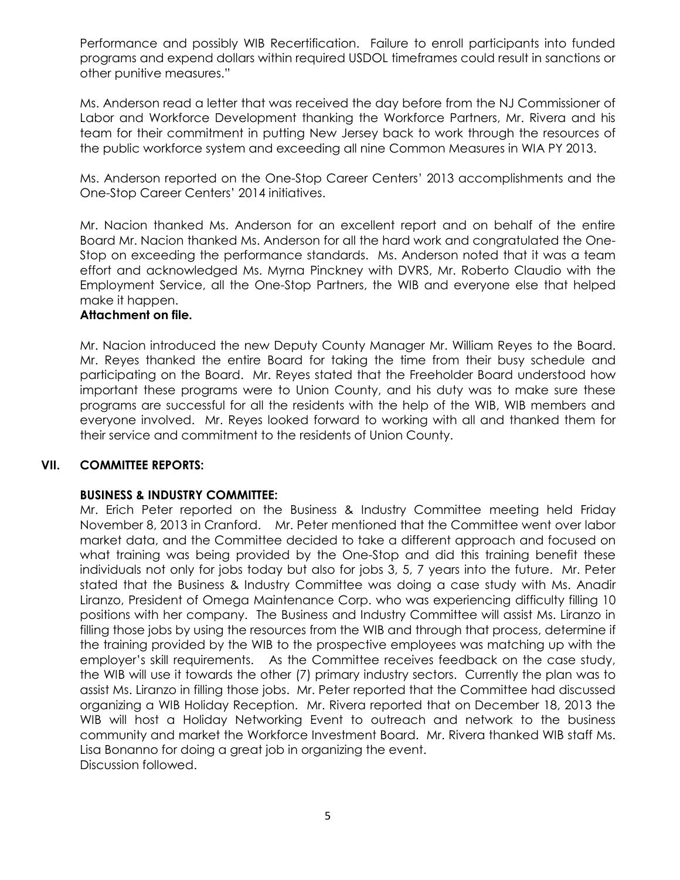Performance and possibly WIB Recertification. Failure to enroll participants into funded programs and expend dollars within required USDOL timeframes could result in sanctions or other punitive measures."

Ms. Anderson read a letter that was received the day before from the NJ Commissioner of Labor and Workforce Development thanking the Workforce Partners, Mr. Rivera and his team for their commitment in putting New Jersey back to work through the resources of the public workforce system and exceeding all nine Common Measures in WIA PY 2013.

Ms. Anderson reported on the One-Stop Career Centers' 2013 accomplishments and the One-Stop Career Centers' 2014 initiatives.

Mr. Nacion thanked Ms. Anderson for an excellent report and on behalf of the entire Board Mr. Nacion thanked Ms. Anderson for all the hard work and congratulated the One-Stop on exceeding the performance standards. Ms. Anderson noted that it was a team effort and acknowledged Ms. Myrna Pinckney with DVRS, Mr. Roberto Claudio with the Employment Service, all the One-Stop Partners, the WIB and everyone else that helped make it happen.

#### **Attachment on file.**

Mr. Nacion introduced the new Deputy County Manager Mr. William Reyes to the Board. Mr. Reyes thanked the entire Board for taking the time from their busy schedule and participating on the Board. Mr. Reyes stated that the Freeholder Board understood how important these programs were to Union County, and his duty was to make sure these programs are successful for all the residents with the help of the WIB, WIB members and everyone involved. Mr. Reyes looked forward to working with all and thanked them for their service and commitment to the residents of Union County.

#### **VII. COMMITTEE REPORTS:**

#### **BUSINESS & INDUSTRY COMMITTEE:**

Mr. Erich Peter reported on the Business & Industry Committee meeting held Friday November 8, 2013 in Cranford. Mr. Peter mentioned that the Committee went over labor market data, and the Committee decided to take a different approach and focused on what training was being provided by the One-Stop and did this training benefit these individuals not only for jobs today but also for jobs 3, 5, 7 years into the future. Mr. Peter stated that the Business & Industry Committee was doing a case study with Ms. Anadir Liranzo, President of Omega Maintenance Corp. who was experiencing difficulty filling 10 positions with her company. The Business and Industry Committee will assist Ms. Liranzo in filling those jobs by using the resources from the WIB and through that process, determine if the training provided by the WIB to the prospective employees was matching up with the employer's skill requirements. As the Committee receives feedback on the case study, the WIB will use it towards the other (7) primary industry sectors. Currently the plan was to assist Ms. Liranzo in filling those jobs. Mr. Peter reported that the Committee had discussed organizing a WIB Holiday Reception. Mr. Rivera reported that on December 18, 2013 the WIB will host a Holiday Networking Event to outreach and network to the business community and market the Workforce Investment Board. Mr. Rivera thanked WIB staff Ms. Lisa Bonanno for doing a great job in organizing the event. Discussion followed.